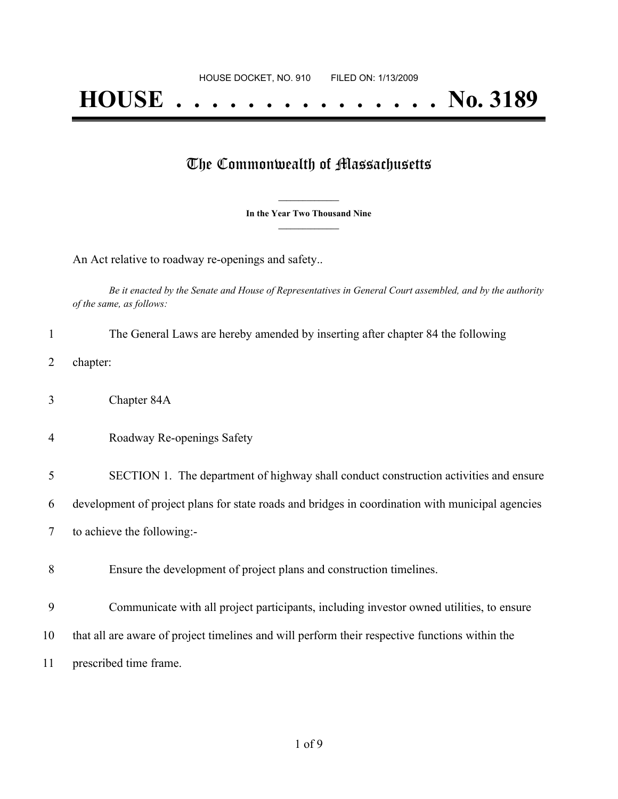## **HOUSE . . . . . . . . . . . . . . . No. 3189**

## The Commonwealth of Massachusetts

**\_\_\_\_\_\_\_\_\_\_\_\_\_\_\_ In the Year Two Thousand Nine \_\_\_\_\_\_\_\_\_\_\_\_\_\_\_**

An Act relative to roadway re-openings and safety..

Be it enacted by the Senate and House of Representatives in General Court assembled, and by the authority *of the same, as follows:*

| The General Laws are hereby amended by inserting after chapter 84 the following |
|---------------------------------------------------------------------------------|
|                                                                                 |

- 2 chapter:
- 3 Chapter 84A
- 4 Roadway Re-openings Safety

5 SECTION 1. The department of highway shall conduct construction activities and ensure

6 development of project plans for state roads and bridges in coordination with municipal agencies

- 7 to achieve the following:-
- 8 Ensure the development of project plans and construction timelines.
- 9 Communicate with all project participants, including investor owned utilities, to ensure
- 10 that all are aware of project timelines and will perform their respective functions within the
- 11 prescribed time frame.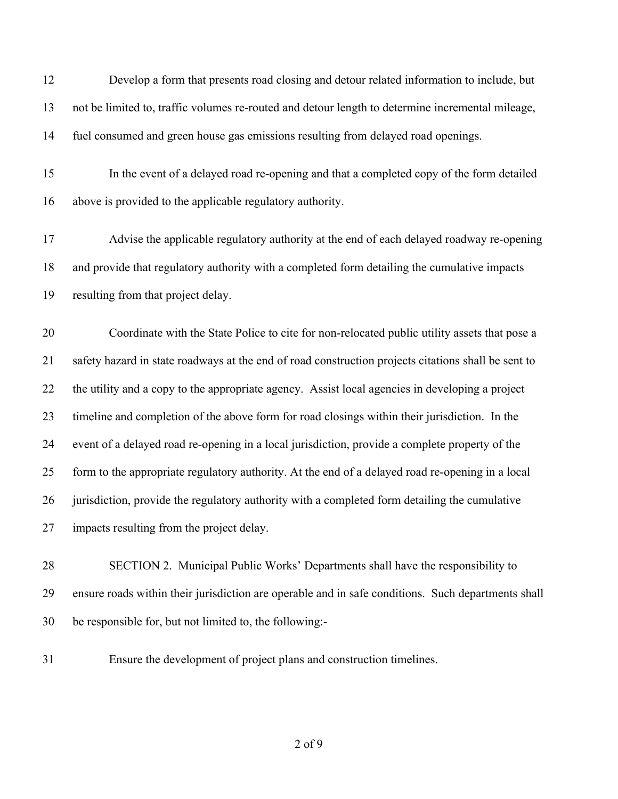Develop a form that presents road closing and detour related information to include, but not be limited to, traffic volumes re-routed and detour length to determine incremental mileage, fuel consumed and green house gas emissions resulting from delayed road openings.

 In the event of a delayed road re-opening and that a completed copy of the form detailed above is provided to the applicable regulatory authority.

 Advise the applicable regulatory authority at the end of each delayed roadway re-opening and provide that regulatory authority with a completed form detailing the cumulative impacts resulting from that project delay.

 Coordinate with the State Police to cite for non-relocated public utility assets that pose a safety hazard in state roadways at the end of road construction projects citations shall be sent to the utility and a copy to the appropriate agency. Assist local agencies in developing a project timeline and completion of the above form for road closings within their jurisdiction. In the event of a delayed road re-opening in a local jurisdiction, provide a complete property of the form to the appropriate regulatory authority. At the end of a delayed road re-opening in a local jurisdiction, provide the regulatory authority with a completed form detailing the cumulative impacts resulting from the project delay.

 SECTION 2. Municipal Public Works' Departments shall have the responsibility to ensure roads within their jurisdiction are operable and in safe conditions. Such departments shall be responsible for, but not limited to, the following:-

Ensure the development of project plans and construction timelines.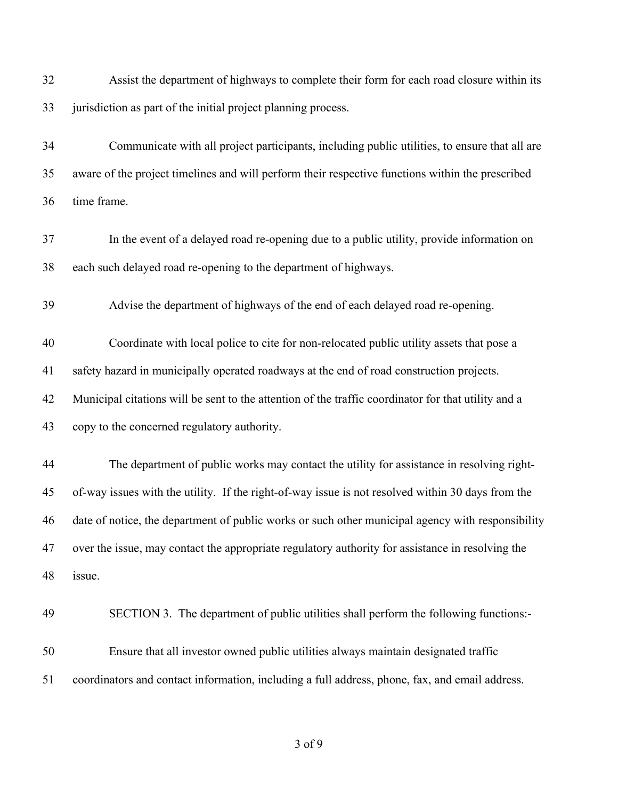| 32 | Assist the department of highways to complete their form for each road closure within its           |
|----|-----------------------------------------------------------------------------------------------------|
| 33 | jurisdiction as part of the initial project planning process.                                       |
| 34 | Communicate with all project participants, including public utilities, to ensure that all are       |
| 35 | aware of the project timelines and will perform their respective functions within the prescribed    |
| 36 | time frame.                                                                                         |
| 37 | In the event of a delayed road re-opening due to a public utility, provide information on           |
| 38 | each such delayed road re-opening to the department of highways.                                    |
| 39 | Advise the department of highways of the end of each delayed road re-opening.                       |
| 40 | Coordinate with local police to cite for non-relocated public utility assets that pose a            |
| 41 | safety hazard in municipally operated roadways at the end of road construction projects.            |
| 42 | Municipal citations will be sent to the attention of the traffic coordinator for that utility and a |
| 43 | copy to the concerned regulatory authority.                                                         |
| 44 | The department of public works may contact the utility for assistance in resolving right-           |
| 45 | of-way issues with the utility. If the right-of-way issue is not resolved within 30 days from the   |
| 46 | date of notice, the department of public works or such other municipal agency with responsibility   |
| 47 | over the issue, may contact the appropriate regulatory authority for assistance in resolving the    |
| 48 | issue.                                                                                              |
| 49 | SECTION 3. The department of public utilities shall perform the following functions:-               |
| 50 | Ensure that all investor owned public utilities always maintain designated traffic                  |
| 51 | coordinators and contact information, including a full address, phone, fax, and email address.      |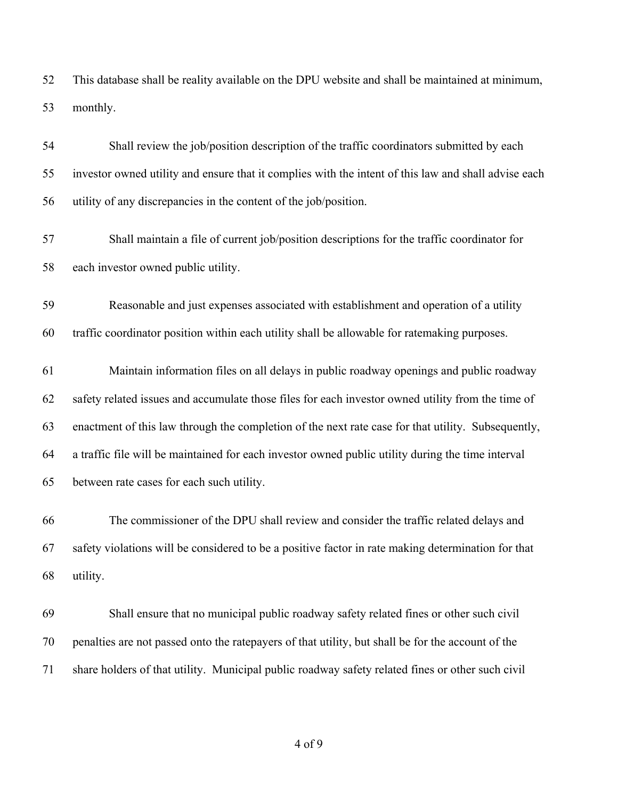This database shall be reality available on the DPU website and shall be maintained at minimum, monthly.

 Shall review the job/position description of the traffic coordinators submitted by each investor owned utility and ensure that it complies with the intent of this law and shall advise each utility of any discrepancies in the content of the job/position.

 Shall maintain a file of current job/position descriptions for the traffic coordinator for each investor owned public utility.

 Reasonable and just expenses associated with establishment and operation of a utility traffic coordinator position within each utility shall be allowable for ratemaking purposes.

 Maintain information files on all delays in public roadway openings and public roadway safety related issues and accumulate those files for each investor owned utility from the time of enactment of this law through the completion of the next rate case for that utility. Subsequently, a traffic file will be maintained for each investor owned public utility during the time interval between rate cases for each such utility.

 The commissioner of the DPU shall review and consider the traffic related delays and safety violations will be considered to be a positive factor in rate making determination for that utility.

 Shall ensure that no municipal public roadway safety related fines or other such civil penalties are not passed onto the ratepayers of that utility, but shall be for the account of the share holders of that utility. Municipal public roadway safety related fines or other such civil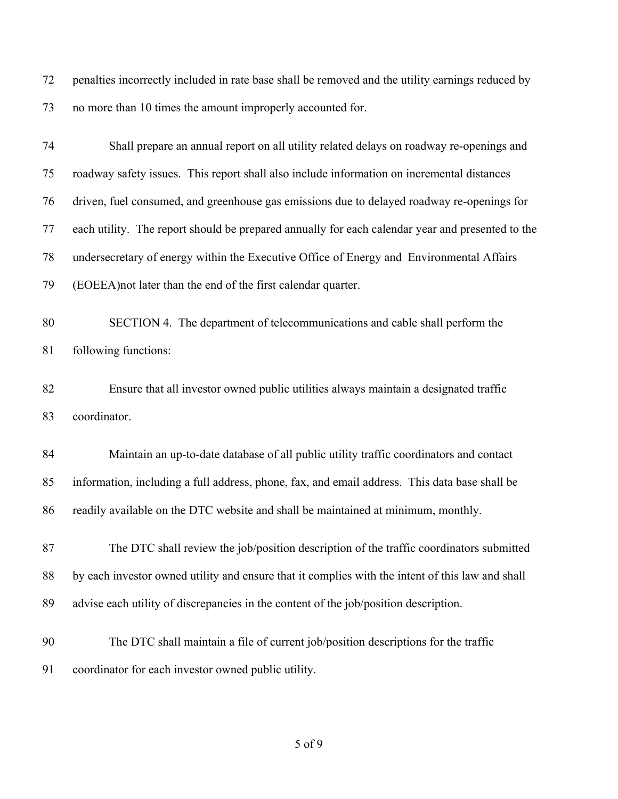penalties incorrectly included in rate base shall be removed and the utility earnings reduced by no more than 10 times the amount improperly accounted for.

| 74 | Shall prepare an annual report on all utility related delays on roadway re-openings and          |
|----|--------------------------------------------------------------------------------------------------|
| 75 | roadway safety issues. This report shall also include information on incremental distances       |
| 76 | driven, fuel consumed, and greenhouse gas emissions due to delayed roadway re-openings for       |
| 77 | each utility. The report should be prepared annually for each calendar year and presented to the |
| 78 | undersecretary of energy within the Executive Office of Energy and Environmental Affairs         |
| 79 | (EOEEA) not later than the end of the first calendar quarter.                                    |
| 80 | SECTION 4. The department of telecommunications and cable shall perform the                      |
| 81 | following functions:                                                                             |
| 82 | Ensure that all investor owned public utilities always maintain a designated traffic             |
| 83 | coordinator.                                                                                     |
| 84 | Maintain an up-to-date database of all public utility traffic coordinators and contact           |
| 85 | information, including a full address, phone, fax, and email address. This data base shall be    |
| 86 | readily available on the DTC website and shall be maintained at minimum, monthly.                |
| 87 | The DTC shall review the job/position description of the traffic coordinators submitted          |
| 88 | by each investor owned utility and ensure that it complies with the intent of this law and shall |
| 89 | advise each utility of discrepancies in the content of the job/position description.             |
| 90 | The DTC shall maintain a file of current job/position descriptions for the traffic               |
| 91 | coordinator for each investor owned public utility.                                              |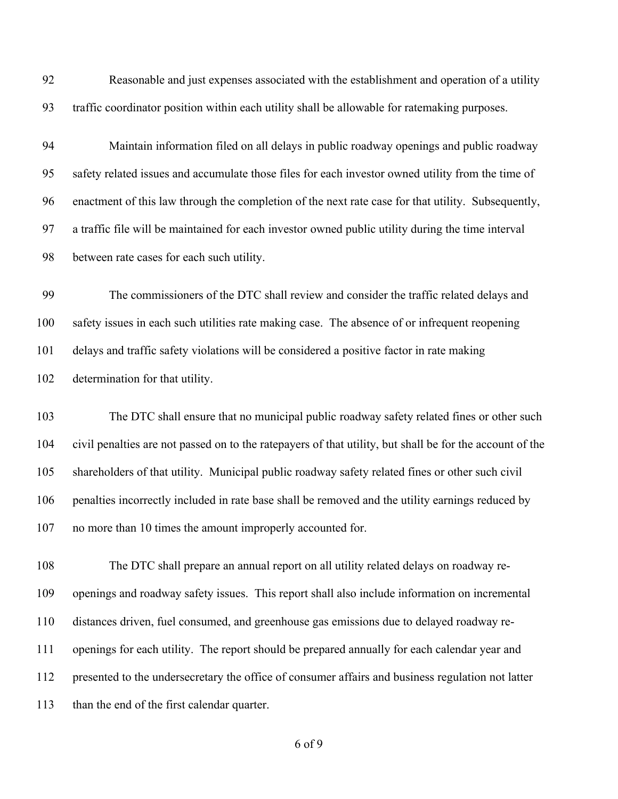Reasonable and just expenses associated with the establishment and operation of a utility traffic coordinator position within each utility shall be allowable for ratemaking purposes.

 Maintain information filed on all delays in public roadway openings and public roadway safety related issues and accumulate those files for each investor owned utility from the time of enactment of this law through the completion of the next rate case for that utility. Subsequently, a traffic file will be maintained for each investor owned public utility during the time interval between rate cases for each such utility.

 The commissioners of the DTC shall review and consider the traffic related delays and safety issues in each such utilities rate making case. The absence of or infrequent reopening delays and traffic safety violations will be considered a positive factor in rate making determination for that utility.

 The DTC shall ensure that no municipal public roadway safety related fines or other such civil penalties are not passed on to the ratepayers of that utility, but shall be for the account of the shareholders of that utility. Municipal public roadway safety related fines or other such civil penalties incorrectly included in rate base shall be removed and the utility earnings reduced by no more than 10 times the amount improperly accounted for.

 The DTC shall prepare an annual report on all utility related delays on roadway re- openings and roadway safety issues. This report shall also include information on incremental distances driven, fuel consumed, and greenhouse gas emissions due to delayed roadway re- openings for each utility. The report should be prepared annually for each calendar year and presented to the undersecretary the office of consumer affairs and business regulation not latter than the end of the first calendar quarter.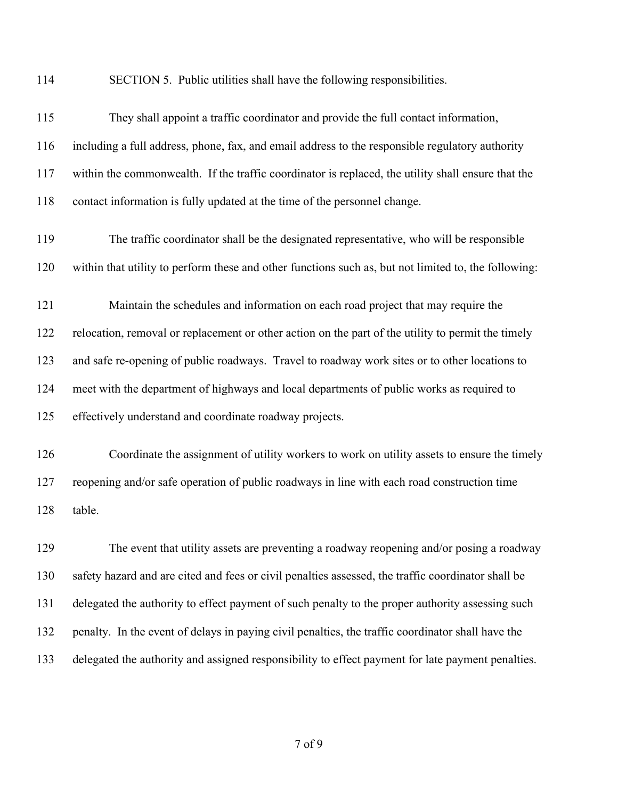SECTION 5. Public utilities shall have the following responsibilities.

| 115 | They shall appoint a traffic coordinator and provide the full contact information,                   |
|-----|------------------------------------------------------------------------------------------------------|
| 116 | including a full address, phone, fax, and email address to the responsible regulatory authority      |
| 117 | within the commonwealth. If the traffic coordinator is replaced, the utility shall ensure that the   |
| 118 | contact information is fully updated at the time of the personnel change.                            |
| 119 | The traffic coordinator shall be the designated representative, who will be responsible              |
| 120 | within that utility to perform these and other functions such as, but not limited to, the following: |
| 121 | Maintain the schedules and information on each road project that may require the                     |
| 122 | relocation, removal or replacement or other action on the part of the utility to permit the timely   |
| 123 | and safe re-opening of public roadways. Travel to roadway work sites or to other locations to        |
| 124 | meet with the department of highways and local departments of public works as required to            |
| 125 | effectively understand and coordinate roadway projects.                                              |
| 126 | Coordinate the assignment of utility workers to work on utility assets to ensure the timely          |
| 127 | reopening and/or safe operation of public roadways in line with each road construction time          |
| 128 | table.                                                                                               |
| 129 | The event that utility assets are preventing a roadway reopening and/or posing a roadway             |
| 130 | safety hazard and are cited and fees or civil penalties assessed, the traffic coordinator shall be   |
| 131 | delegated the authority to effect payment of such penalty to the proper authority assessing such     |
| 132 | penalty. In the event of delays in paying civil penalties, the traffic coordinator shall have the    |

delegated the authority and assigned responsibility to effect payment for late payment penalties.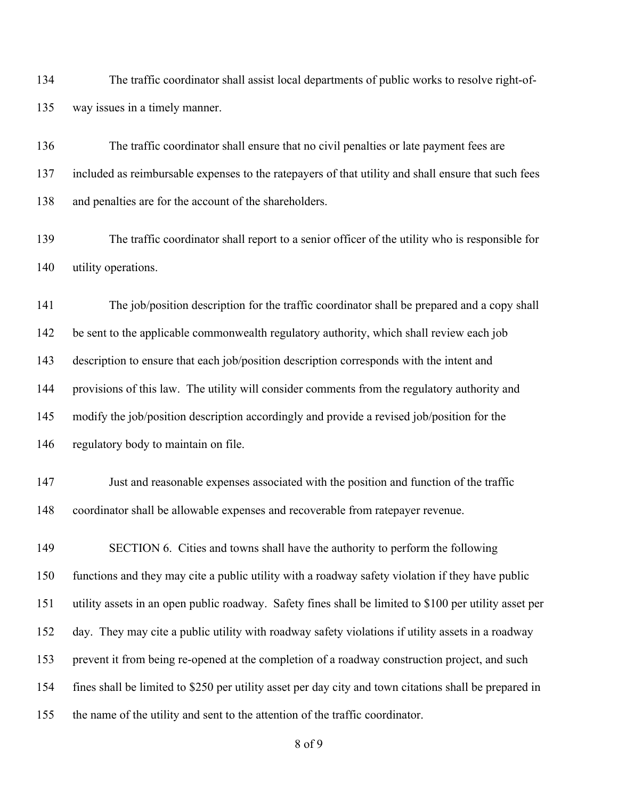The traffic coordinator shall assist local departments of public works to resolve right-of-way issues in a timely manner.

 The traffic coordinator shall ensure that no civil penalties or late payment fees are included as reimbursable expenses to the ratepayers of that utility and shall ensure that such fees and penalties are for the account of the shareholders.

 The traffic coordinator shall report to a senior officer of the utility who is responsible for utility operations.

 The job/position description for the traffic coordinator shall be prepared and a copy shall be sent to the applicable commonwealth regulatory authority, which shall review each job description to ensure that each job/position description corresponds with the intent and provisions of this law. The utility will consider comments from the regulatory authority and modify the job/position description accordingly and provide a revised job/position for the regulatory body to maintain on file.

 Just and reasonable expenses associated with the position and function of the traffic coordinator shall be allowable expenses and recoverable from ratepayer revenue.

149 SECTION 6. Cities and towns shall have the authority to perform the following functions and they may cite a public utility with a roadway safety violation if they have public utility assets in an open public roadway. Safety fines shall be limited to \$100 per utility asset per day. They may cite a public utility with roadway safety violations if utility assets in a roadway prevent it from being re-opened at the completion of a roadway construction project, and such fines shall be limited to \$250 per utility asset per day city and town citations shall be prepared in the name of the utility and sent to the attention of the traffic coordinator.